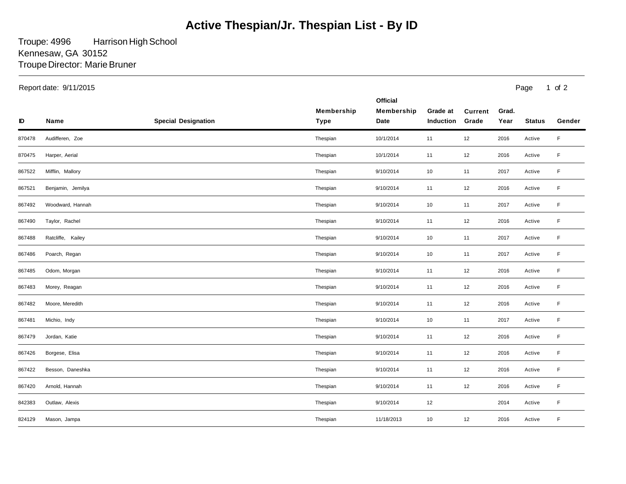## **Active Thespian/Jr. Thespian List - By ID**

Troupe: 4996 Troupe Director: Marie Bruner Harrison High School Kennesaw, GA 30152

| Report date: 9/11/2015 |                   |                            |                           |                                       |                       |                         | Page<br>1 of $2$ |               |             |
|------------------------|-------------------|----------------------------|---------------------------|---------------------------------------|-----------------------|-------------------------|------------------|---------------|-------------|
| ID                     | Name              | <b>Special Designation</b> | Membership<br><b>Type</b> | <b>Official</b><br>Membership<br>Date | Grade at<br>Induction | <b>Current</b><br>Grade | Grad.<br>Year    | <b>Status</b> | Gender      |
| 870478                 | Audifferen, Zoe   |                            | Thespian                  | 10/1/2014                             | 11                    | 12                      | 2016             | Active        | $\mathsf F$ |
| 870475                 | Harper, Aerial    |                            | Thespian                  | 10/1/2014                             | 11                    | 12                      | 2016             | Active        | F           |
| 867522                 | Mifflin, Mallory  |                            | Thespian                  | 9/10/2014                             | 10                    | 11                      | 2017             | Active        | F           |
| 867521                 | Benjamin, Jemilya |                            | Thespian                  | 9/10/2014                             | 11                    | 12                      | 2016             | Active        | $\mathsf F$ |
| 867492                 | Woodward, Hannah  |                            | Thespian                  | 9/10/2014                             | 10                    | 11                      | 2017             | Active        | F           |
| 867490                 | Taylor, Rachel    |                            | Thespian                  | 9/10/2014                             | 11                    | 12                      | 2016             | Active        | F           |
| 867488                 | Ratcliffe, Kailey |                            | Thespian                  | 9/10/2014                             | 10                    | 11                      | 2017             | Active        | F           |
| 867486                 | Poarch, Regan     |                            | Thespian                  | 9/10/2014                             | 10                    | 11                      | 2017             | Active        | F           |
| 867485                 | Odom, Morgan      |                            | Thespian                  | 9/10/2014                             | 11                    | 12                      | 2016             | Active        | F           |
| 867483                 | Morey, Reagan     |                            | Thespian                  | 9/10/2014                             | 11                    | 12                      | 2016             | Active        | $\mathsf F$ |
| 867482                 | Moore, Meredith   |                            | Thespian                  | 9/10/2014                             | 11                    | 12                      | 2016             | Active        | F           |
| 867481                 | Michio, Indy      |                            | Thespian                  | 9/10/2014                             | 10                    | 11                      | 2017             | Active        | $\mathsf F$ |
| 867479                 | Jordan, Katie     |                            | Thespian                  | 9/10/2014                             | 11                    | 12                      | 2016             | Active        | $\mathsf F$ |
| 867426                 | Borgese, Elisa    |                            | Thespian                  | 9/10/2014                             | 11                    | 12                      | 2016             | Active        | F           |
| 867422                 | Besson, Daneshka  |                            | Thespian                  | 9/10/2014                             | 11                    | 12                      | 2016             | Active        | $\mathsf F$ |
| 867420                 | Arnold, Hannah    |                            | Thespian                  | 9/10/2014                             | 11                    | 12                      | 2016             | Active        | F           |
| 842383                 | Outlaw, Alexis    |                            | Thespian                  | 9/10/2014                             | 12                    |                         | 2014             | Active        | F           |
| 824129                 | Mason, Jampa      |                            | Thespian                  | 11/18/2013                            | 10                    | 12                      | 2016             | Active        | F           |
|                        |                   |                            |                           |                                       |                       |                         |                  |               |             |